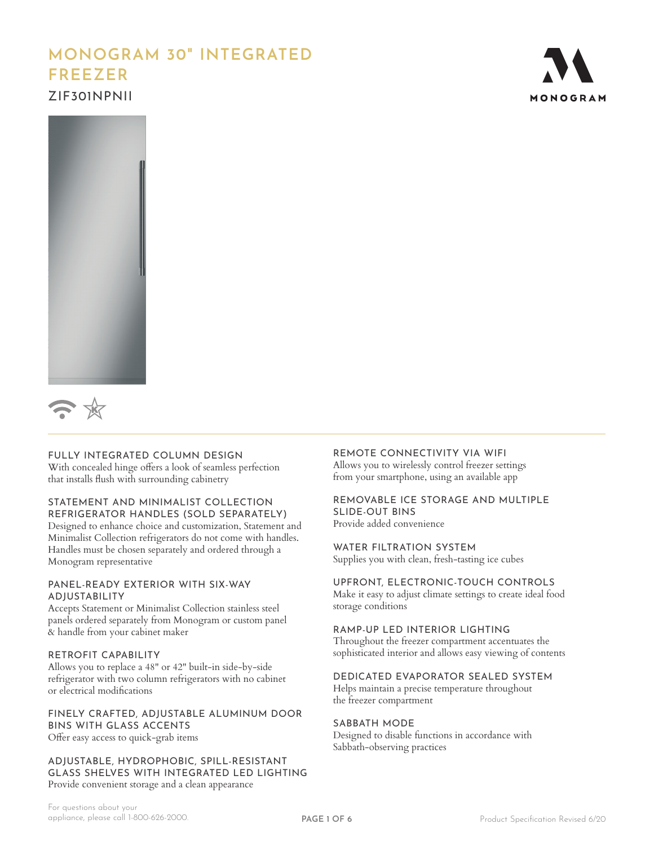# **MONOGRAM 30" INTEGRATED FREEZER** ZIF301NPNII







#### FULLY INTEGRATED COLUMN DESIGN

With concealed hinge offers a look of seamless perfection that installs flush with surrounding cabinetry

#### STATEMENT AND MINIMALIST COLLECTION REFRIGERATOR HANDLES (SOLD SEPARATELY)

Designed to enhance choice and customization, Statement and Minimalist Collection refrigerators do not come with handles. Handles must be chosen separately and ordered through a Monogram representative

#### PANEL-READY EXTERIOR WITH SIX-WAY ADJUSTABILITY

Accepts Statement or Minimalist Collection stainless steel panels ordered separately from Monogram or custom panel & handle from your cabinet maker

#### RETROFIT CAPABILITY

Allows you to replace a 48" or 42" built-in side-by-side refrigerator with two column refrigerators with no cabinet or electrical modifications

#### FINELY CRAFTED, ADJUSTABLE ALUMINUM DOOR BINS WITH GLASS ACCENTS Offer easy access to quick-grab items

ADJUSTABLE, HYDROPHOBIC, SPILL-RESISTANT GLASS SHELVES WITH INTEGRATED LED LIGHTING Provide convenient storage and a clean appearance

# REMOTE CONNECTIVITY VIA WIFI

Allows you to wirelessly control freezer settings from your smartphone, using an available app

#### REMOVABLE ICE STORAGE AND MULTIPLE SLIDE-OUT BINS

Provide added convenience

WATER FILTRATION SYSTEM Supplies you with clean, fresh-tasting ice cubes

### UPFRONT, ELECTRONIC-TOUCH CONTROLS

Make it easy to adjust climate settings to create ideal food storage conditions

RAMP-UP LED INTERIOR LIGHTING

Throughout the freezer compartment accentuates the sophisticated interior and allows easy viewing of contents

#### DEDICATED EVAPORATOR SEALED SYSTEM

Helps maintain a precise temperature throughout the freezer compartment

#### SABBATH MODE

Designed to disable functions in accordance with Sabbath-observing practices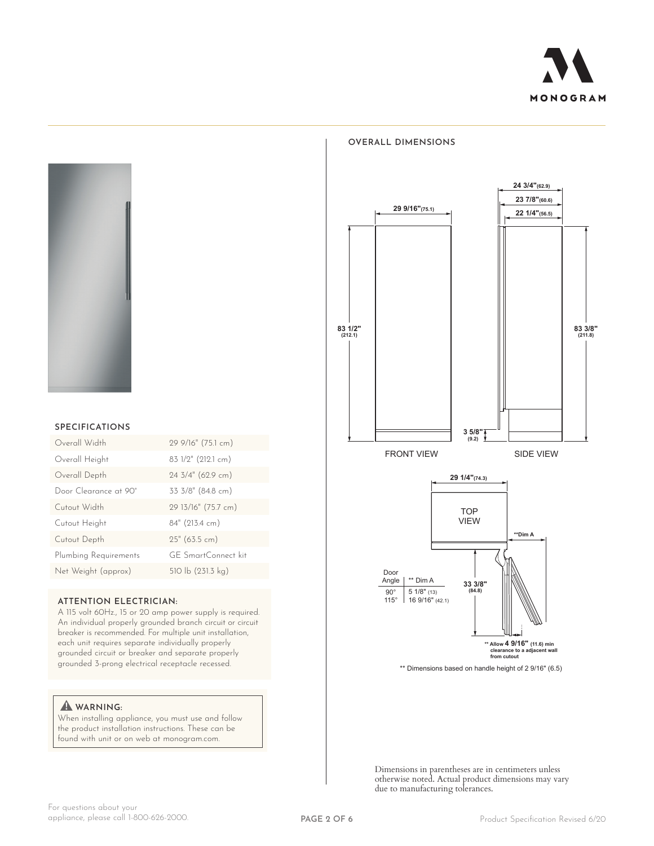



# **OVERALL DIMENSIONS**

# **SPECIFICATIONS** Overall Width 29 9/16" (75.1 cm) Overall Height 83 1/2" (212.1 cm) Overall Depth 24 3/4" (62.9 cm) Door Clearance at 90° 33 3/8" (84.8 cm)

| Cutout Width          | 29 13/16" (75.7 cm) |
|-----------------------|---------------------|
| Cutout Height         | 84" (213.4 cm)      |
| Cutout Depth          | 25" (63.5 cm)       |
| Plumbing Requirements | GE SmartConnect kit |
| Net Weight (approx)   | 510 lb (231.3 kg)   |

#### **ATTENTION ELECTRICIAN:**

A 115 volt 60Hz., 15 or 20 amp power supply is required. An individual properly grounded branch circuit or circuit breaker is recommended. For multiple unit installation, each unit requires separate individually properly grounded circuit or breaker and separate properly grounded 3-prong electrical receptacle recessed.

#### **WARNING:**

When installing appliance, you must use and follow the product installation instructions. These can be found with unit or on web at monogram.com.



Dimensions in parentheses are in centimeters unless otherwise noted. Actual product dimensions may vary due to manufacturing tolerances.

\*\* Dimensions based on handle height of 2 9/16" (6.5)

**\*\* Allow 4 9/16" (11.6) min clearance to a adjacent wall from cutout**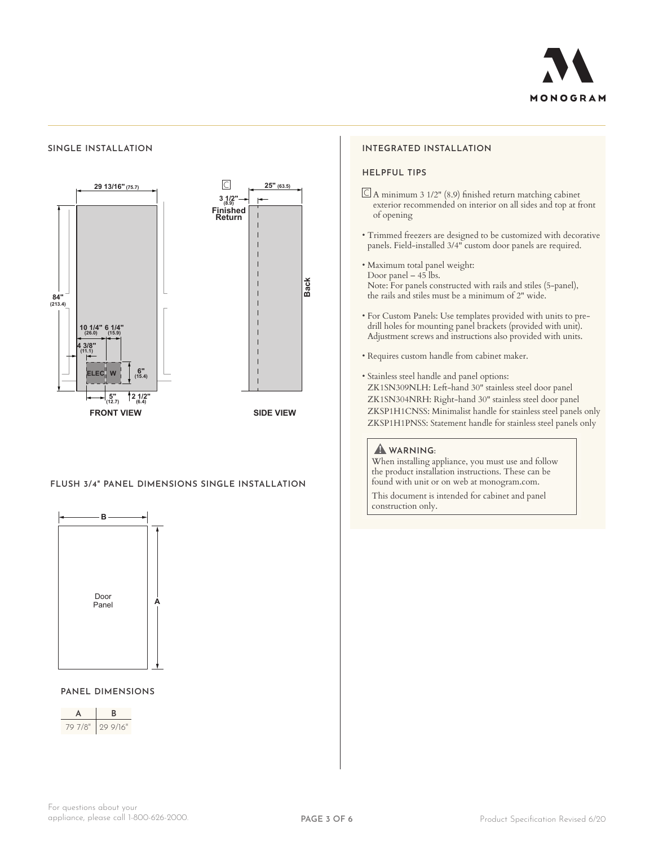

#### **SINGLE INSTALLATION**



#### **FLUSH 3/4" PANEL DIMENSIONS SINGLE INSTALLATION**



# **PANEL DIMENSIONS**



#### **INTEGRATED INSTALLATION**

#### **HELPFUL TIPS**

- $\Box$  A minimum 3 1/2" (8.9) finished return matching cabinet exterior recommended on interior on all sides and top at front of opening
- Trimmed freezers are designed to be customized with decorative panels. Field-installed 3/4" custom door panels are required.
- Maximum total panel weight: Door panel – 45 lbs. Note: For panels constructed with rails and stiles (5-panel), the rails and stiles must be a minimum of 2" wide.
- For Custom Panels: Use templates provided with units to predrill holes for mounting panel brackets (provided with unit). Adjustment screws and instructions also provided with units.
- Requires custom handle from cabinet maker.
- Stainless steel handle and panel options: ZK1SN309NLH: Left-hand 30" stainless steel door panel ZK1SN304NRH: Right-hand 30" stainless steel door panel ZKSP1H1CNSS: Minimalist handle for stainless steel panels only ZKSP1H1PNSS: Statement handle for stainless steel panels only

#### **WARNING:**

When installing appliance, you must use and follow the product installation instructions. These can be found with unit or on web at monogram.com.

This document is intended for cabinet and panel construction only.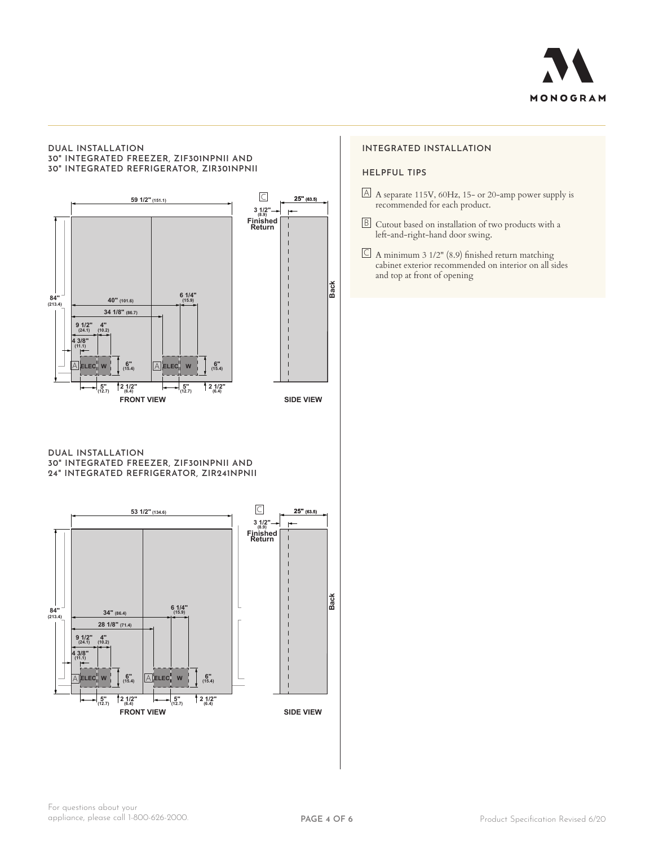

#### **DUAL INSTALLATION 30" INTEGRATED FREEZER, ZIF301NPNII AND 30" INTEGRATED REFRIGERATOR, ZIR301NPNII HELPFUL TIPS**



**DUAL INSTALLATION 30" INTEGRATED FREEZER, ZIF301NPNII AND 24" INTEGRATED REFRIGERATOR, ZIR241NPNII**



#### **INTEGRATED INSTALLATION**

- $\Delta$  A separate 115V, 60Hz, 15- or 20-amp power supply is recommended for each product.
- B Cutout based on installation of two products with a left-and-right-hand door swing.
- $\subseteq$  A minimum 3 1/2" (8.9) finished return matching cabinet exterior recommended on interior on all sides and top at front of opening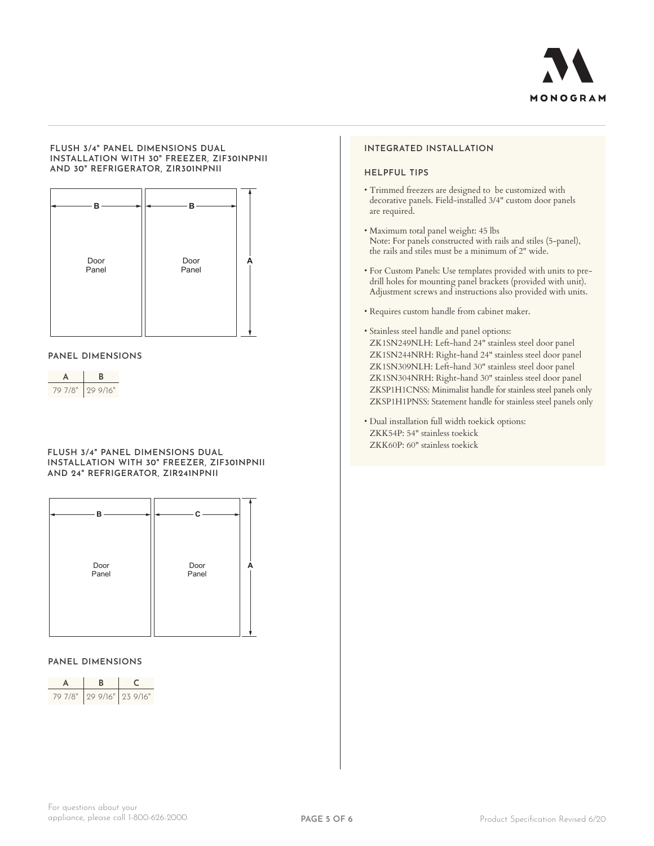

#### **FLUSH 3/4" PANEL DIMENSIONS DUAL INSTALLATION WITH 30" FREEZER, ZIF301NPNII AND 30" REFRIGERATOR, ZIR301NPNII**



#### **PANEL DIMENSIONS**

| 7/8"<br>$\prime$ ( ) | 999/16" |
|----------------------|---------|

#### **FLUSH 3/4" PANEL DIMENSIONS DUAL INSTALLATION WITH 30" FREEZER, ZIF301NPNII AND 24" REFRIGERATOR, ZIR241NPNII**



#### **PANEL DIMENSIONS**

| 79 7/8" 29 9/16" 23 9/16" |  |
|---------------------------|--|

#### **INTEGRATED INSTALLATION**

#### **HELPFUL TIPS**

- Trimmed freezers are designed to be customized with decorative panels. Field-installed 3/4" custom door panels are required.
- Maximum total panel weight: 45 lbs Note: For panels constructed with rails and stiles (5-panel), the rails and stiles must be a minimum of 2" wide.
- For Custom Panels: Use templates provided with units to predrill holes for mounting panel brackets (provided with unit). Adjustment screws and instructions also provided with units.
- Requires custom handle from cabinet maker.
- Stainless steel handle and panel options: ZK1SN249NLH: Left-hand 24" stainless steel door panel ZK1SN244NRH: Right-hand 24" stainless steel door panel ZK1SN309NLH: Left-hand 30" stainless steel door panel ZK1SN304NRH: Right-hand 30" stainless steel door panel ZKSP1H1CNSS: Minimalist handle for stainless steel panels only ZKSP1H1PNSS: Statement handle for stainless steel panels only
- Dual installation full width toekick options: ZKK54P: 54" stainless toekick ZKK60P: 60" stainless toekick